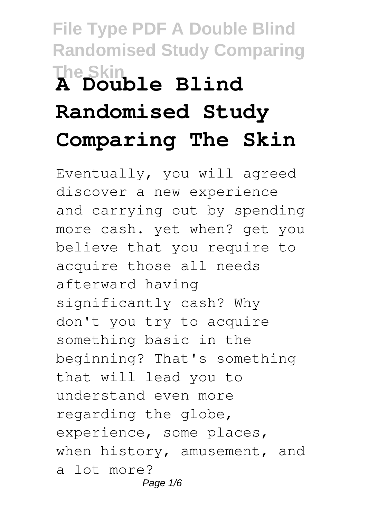# **File Type PDF A Double Blind Randomised Study Comparing The Skin A Double Blind Randomised Study Comparing The Skin**

Eventually, you will agreed discover a new experience and carrying out by spending more cash. yet when? get you believe that you require to acquire those all needs afterward having significantly cash? Why don't you try to acquire something basic in the beginning? That's something that will lead you to understand even more regarding the globe, experience, some places, when history, amusement, and a lot more? Page 1/6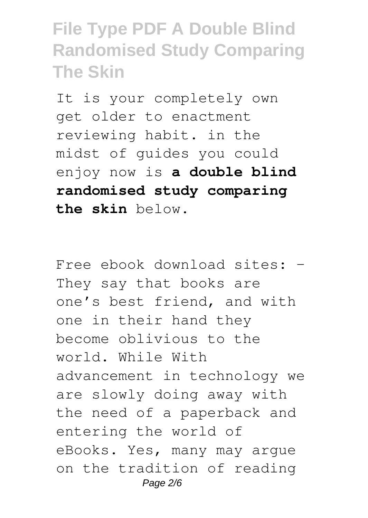**File Type PDF A Double Blind Randomised Study Comparing The Skin**

It is your completely own get older to enactment reviewing habit. in the midst of guides you could enjoy now is **a double blind randomised study comparing the skin** below.

Free ebook download sites: – They say that books are one's best friend, and with one in their hand they become oblivious to the world. While With advancement in technology we are slowly doing away with the need of a paperback and entering the world of eBooks. Yes, many may argue on the tradition of reading Page 2/6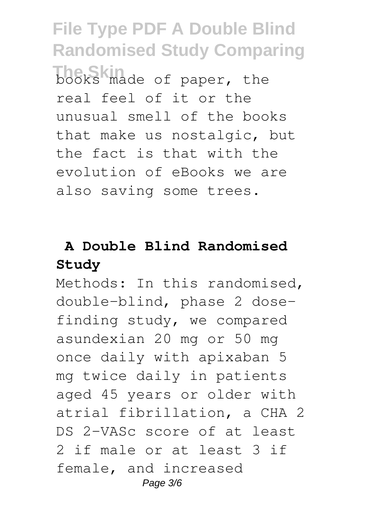**File Type PDF A Double Blind Randomised Study Comparing The Skin** books made of paper, the real feel of it or the unusual smell of the books that make us nostalgic, but the fact is that with the evolution of eBooks we are also saving some trees.

## **A Double Blind Randomised Study**

Methods: In this randomised, double-blind, phase 2 dosefinding study, we compared asundexian 20 mg or 50 mg once daily with apixaban 5 mg twice daily in patients aged 45 years or older with atrial fibrillation, a CHA 2 DS 2-VASc score of at least 2 if male or at least 3 if female, and increased Page 3/6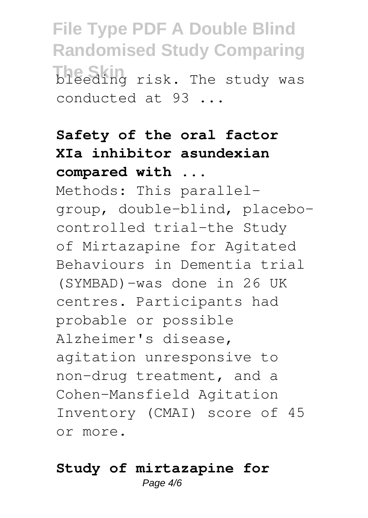**File Type PDF A Double Blind Randomised Study Comparing The Skin** risk. The study was conducted at 93 ...

# **Safety of the oral factor XIa inhibitor asundexian compared with ...**

Methods: This parallelgroup, double-blind, placebocontrolled trial-the Study of Mirtazapine for Agitated Behaviours in Dementia trial (SYMBAD)-was done in 26 UK centres. Participants had probable or possible Alzheimer's disease, agitation unresponsive to non-drug treatment, and a Cohen-Mansfield Agitation Inventory (CMAI) score of 45 or more.

#### **Study of mirtazapine for** Page  $4/6$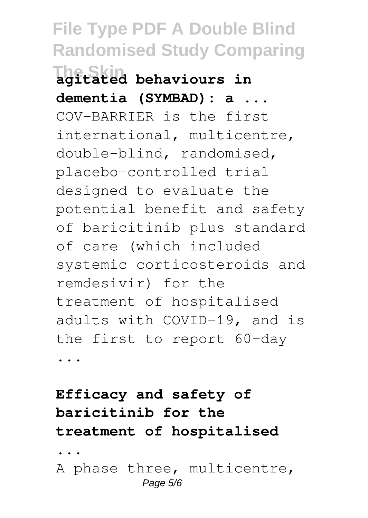**File Type PDF A Double Blind Randomised Study Comparing The Skin agitated behaviours in dementia (SYMBAD): a ...** COV-BARRIER is the first international, multicentre, double-blind, randomised, placebo-controlled trial designed to evaluate the potential benefit and safety of baricitinib plus standard of care (which included systemic corticosteroids and remdesivir) for the treatment of hospitalised adults with COVID-19, and is the first to report 60-day

...

## **Efficacy and safety of baricitinib for the treatment of hospitalised**

**...**

A phase three, multicentre, Page 5/6